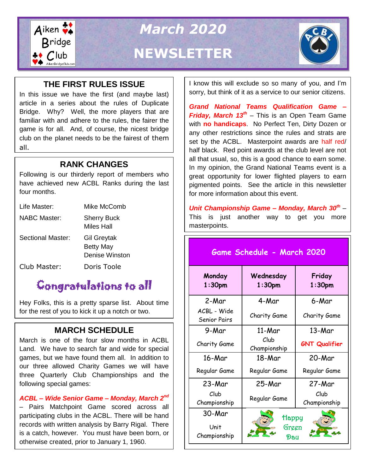

# *March 2020* **NEWSLETTER**



### **THE FIRST RULES ISSUE**

In this issue we have the first (and maybe last) article in a series about the rules of Duplicate Bridge. Why? Well, the more players that are familiar with and adhere to the rules, the fairer the game is for all. And, of course, the nicest bridge club on the planet needs to be the fairest of them all.

#### **RANK CHANGES** In addition, Jay is back with his "Simple

Following is our thirderly report of members who have achieved new ACBL Ranks during the last four months.

| Life Master:        | Mike McComb                                              |
|---------------------|----------------------------------------------------------|
| <b>NABC Master:</b> | <b>Sherry Buck</b><br>Miles Hall                         |
| Sectional Master:   | <b>Gil Greytak</b><br><b>Betty May</b><br>Denise Winston |
| Club Master:        | Doris Toole                                              |

## Congratulations to all

Hey Folks, this is a pretty sparse list. About time for the rest of you to kick it up a notch or two.

### **MARCH SCHEDULE**

March is one of the four slow months in ACBL Land. We have to search far and wide for special games, but we have found them all. In addition to our three allowed Charity Games we will have three Quarterly Club Championships and the following special games:

#### *ACBL – Wide Senior Game – Monday, March 2nd*

– Pairs Matchpoint Game scored across all participating clubs in the ACBL. There will be hand records with written analysis by Barry Rigal. There is a catch, however. You must have been born, or otherwise created, prior to January 1, 1960.

I know this will exclude so so many of you, and I'm sorry, but think of it as a service to our senior citizens.

*Grand National Teams Qualification Game – Friday, March 13th* – This is an Open Team Game with **no handicaps**. No Perfect Ten, Dirty Dozen or any other restrictions since the rules and strats are set by the ACBL. Masterpoint awards are half red/ half black. Red point awards at the club level are not all that usual, so, this is a good chance to earn some. In my opinion, the Grand National Teams event is a great opportunity for lower flighted players to earn pigmented points. See the article in this newsletter for more information about this event.

*Unit Championship Game – Monday, March 30th* – This is just another way to get you more masterpoints.

### **Game Schedule - March 2020**

| Monday<br>$1:30$ pm         | Wednesday<br>1:30 <sub>pm</sub> | Friday<br>1:30 <sub>pm</sub> |
|-----------------------------|---------------------------------|------------------------------|
| 2-Mar                       | 4-Mar                           | 6-Mar                        |
| ACBL - Wide<br>Senior Pairs | Charity Game                    | Charity Game                 |
| 9-Mar                       | 11-Mar                          | 13-Mar                       |
| Charity Game                | Club<br>Championship            | <b>GNT Qualifier</b>         |
| 16-Mar                      | 18-Mar                          | 20-Mar                       |
| Regular Game                | Regular Game                    | Regular Game                 |
| 23-Mar                      | 25-Mar                          | 27-Mar                       |
| Club<br>Championship        | Regular Game                    | Club<br>Championship         |
| 30-Mar                      | Happy                           |                              |
| Unit<br>Championship        | Green<br>Dau                    |                              |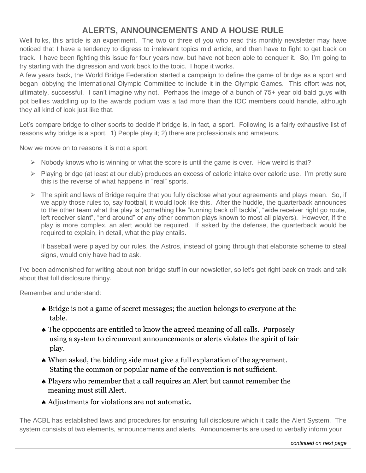### **ALERTS, ANNOUNCEMENTS AND A HOUSE RULE**

Well folks, this article is an experiment. The two or three of you who read this monthly newsletter may have noticed that I have a tendency to digress to irrelevant topics mid article, and then have to fight to get back on track. I have been fighting this issue for four years now, but have not been able to conquer it. So, I'm going to try starting with the digression and work back to the topic. I hope it works.

A few years back, the World Bridge Federation started a campaign to define the game of bridge as a sport and began lobbying the International Olympic Committee to include it in the Olympic Games. This effort was not, ultimately, successful. I can't imagine why not. Perhaps the image of a bunch of 75+ year old bald guys with pot bellies waddling up to the awards podium was a tad more than the IOC members could handle, although they all kind of look just like that.

Let's compare bridge to other sports to decide if bridge is, in fact, a sport. Following is a fairly exhaustive list of reasons why bridge is a sport. 1) People play it; 2) there are professionals and amateurs.

Now we move on to reasons it is not a sport.

- $\triangleright$  Nobody knows who is winning or what the score is until the game is over. How weird is that?
- $\triangleright$  Playing bridge (at least at our club) produces an excess of caloric intake over caloric use. I'm pretty sure this is the reverse of what happens in "real" sports.
- $\triangleright$  The spirit and laws of Bridge require that you fully disclose what your agreements and plays mean. So, if we apply those rules to, say football, it would look like this. After the huddle, the quarterback announces to the other team what the play is (something like "running back off tackle", "wide receiver right go route, left receiver slant", "end around" or any other common plays known to most all players). However, if the play is more complex, an alert would be required. If asked by the defense, the quarterback would be required to explain, in detail, what the play entails.

If baseball were played by our rules, the Astros, instead of going through that elaborate scheme to steal signs, would only have had to ask.

I've been admonished for writing about non bridge stuff in our newsletter, so let's get right back on track and talk about that full disclosure thingy.

Remember and understand:

- Bridge is not a game of secret messages; the auction belongs to everyone at the table.
- $\triangle$  The opponents are entitled to know the agreed meaning of all calls. Purposely using a system to circumvent announcements or alerts violates the spirit of fair play.
- When asked, the bidding side must give a full explanation of the agreement. Stating the common or popular name of the convention is not sufficient.
- Players who remember that a call requires an Alert but cannot remember the meaning must still Alert.
- Adjustments for violations are not automatic.

The ACBL has established laws and procedures for ensuring full disclosure which it calls the Alert System. The system consists of two elements, announcements and alerts. Announcements are used to verbally inform your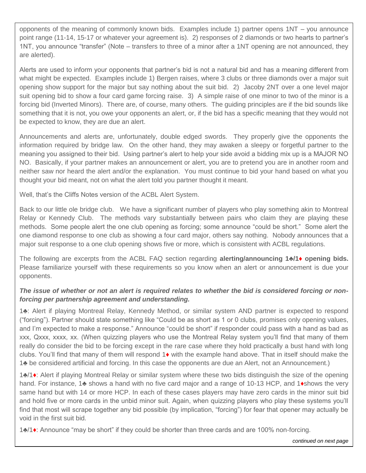opponents of the meaning of commonly known bids. Examples include 1) partner opens 1NT – you announce point range (11-14, 15-17 or whatever your agreement is). 2) responses of 2 diamonds or two hearts to partner's 1NT, you announce "transfer" (Note – transfers to three of a minor after a 1NT opening are not announced, they are alerted).

Alerts are used to inform your opponents that partner's bid is not a natural bid and has a meaning different from what might be expected. Examples include 1) Bergen raises, where 3 clubs or three diamonds over a major suit opening show support for the major but say nothing about the suit bid. 2) Jacoby 2NT over a one level major suit opening bid to show a four card game forcing raise. 3) A simple raise of one minor to two of the minor is a forcing bid (Inverted Minors). There are, of course, many others. The guiding principles are if the bid sounds like something that it is not, you owe your opponents an alert, or, if the bid has a specific meaning that they would not be expected to know, they are due an alert.

 information required by bridge law. On the other hand, they may awaken a sleepy or forgetful partner to the Announcements and alerts are, unfortunately, double edged swords. They properly give the opponents the meaning you assigned to their bid. Using partner's alert to help your side avoid a bidding mix up is a MAJOR NO NO. Basically, if your partner makes an announcement or alert, you are to pretend you are in another room and neither saw nor heard the alert and/or the explanation. You must continue to bid your hand based on what you thought your bid meant, not on what the alert told you partner thought it meant.

Well, that's the Cliffs Notes version of the ACBL Alert System.

Back to our little ole bridge club. We have a significant number of players who play something akin to Montreal Relay or Kennedy Club. The methods vary substantially between pairs who claim they are playing these methods. Some people alert the one club opening as forcing; some announce "could be short." Some alert the one diamond response to one club as showing a four card major, others say nothing. Nobody announces that a major suit response to a one club opening shows five or more, which is consistent with ACBL regulations.

The following are excerpts from the ACBL FAQ section regarding **alerting/announcing 1♣/1♦ opening bids.**  Please familiarize yourself with these requirements so you know when an alert or announcement is due your opponents.

#### *The issue of whether or not an alert is required relates to whether the bid is considered forcing or nonforcing per partnership agreement and understanding.*

1**♣**: Alert if playing Montreal Relay, Kennedy Method, or similar system AND partner is expected to respond ("forcing"). Partner should state something like "Could be as short as 1 or 0 clubs, promises only opening values, and I'm expected to make a response." Announce "could be short" if responder could pass with a hand as bad as xxx, Qxxx, xxxx, xx. (When quizzing players who use the Montreal Relay system you'll find that many of them really do consider the bid to be forcing except in the rare case where they hold practically a bust hand with long clubs. You'll find that many of them will respond 1**♦** with the example hand above. That in itself should make the 1**♣** be considered artificial and forcing. In this case the opponents are due an Alert, not an Announcement.)

**Falling Down Bridge** and hold five or more cards in the unbid minor suit. Again, when quizzing players who play these systems you'll 1**♣**/1**♦**: Alert if playing Montreal Relay or similar system where these two bids distinguish the size of the opening hand. For instance, 1**♣** shows a hand with no five card major and a range of 10-13 HCP, and 1**♦**shows the very same hand but with 14 or more HCP. In each of these cases players may have zero cards in the minor suit bid find that most will scrape together any bid possible (by implication, "forcing") for fear that opener may actually be void in the first suit bid.

1**♣**/1**♦**: Announce "may be short" if they could be shorter than three cards and are 100% non-forcing.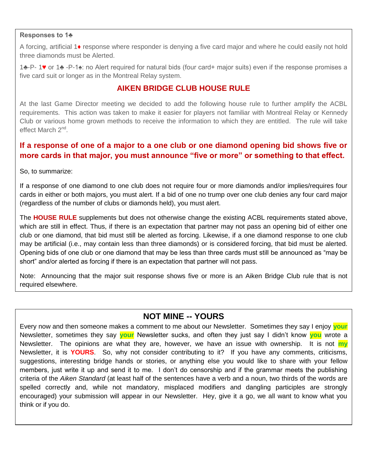#### **Responses to 1♣**

A forcing, artificial 1**♦** response where responder is denying a five card major and where he could easily not hold three diamonds must be Alerted.

1**♣**-P- 1♥ or 1**♣** -P-1♠: no Alert required for natural bids (four card+ major suits) even if the response promises a five card suit or longer as in the Montreal Relay system.

#### **AIKEN BRIDGE CLUB HOUSE RULE**

At the last Game Director meeting we decided to add the following house rule to further amplify the ACBL requirements. This action was taken to make it easier for players not familiar with Montreal Relay or Kennedy Club or various home grown methods to receive the information to which they are entitled. The rule will take effect March 2<sup>nd</sup>.

#### **If a response of one of a major to a one club or one diamond opening bid shows five or more cards in that major, you must announce "five or more" or something to that effect.**

So, to summarize:

If a response of one diamond to one club does not require four or more diamonds and/or implies/requires four cards in either or both majors, you must alert. If a bid of one no trump over one club denies any four card major (regardless of the number of clubs or diamonds held), you must alert.

The **HOUSE RULE** supplements but does not otherwise change the existing ACBL requirements stated above, which are still in effect. Thus, if there is an expectation that partner may not pass an opening bid of either one club or one diamond, that bid must still be alerted as forcing. Likewise, if a one diamond response to one club may be artificial (i.e., may contain less than three diamonds) or is considered forcing, that bid must be alerted. Opening bids of one club or one diamond that may be less than three cards must still be announced as "may be short" and/or alerted as forcing if there is an expectation that partner will not pass.

Note: Announcing that the major suit response shows five or more is an Aiken Bridge Club rule that is not required elsewhere.

#### **NOT MINE -- YOURS**

Every now and then someone makes a comment to me about our Newsletter. Sometimes they say I enjoy **your** Newsletter, sometimes they say **your** Newsletter sucks, and often they just say I didn't know **you** wrote a Newsletter. The opinions are what they are, however, we have an issue with ownership. It is not **my** Newsletter, it is **YOURS**.So, why not consider contributing to it? If you have any comments, criticisms, suggestions, interesting bridge hands or stories, or anything else you would like to share with your fellow members, just write it up and send it to me. I don't do censorship and if the grammar meets the publishing criteria of the *Aiken Standard* (at least half of the sentences have a verb and a noun, two thirds of the words are spelled correctly and, while not mandatory, misplaced modifiers and dangling participles are strongly encouraged) your submission will appear in our Newsletter. Hey, give it a go, we all want to know what you think or if you do.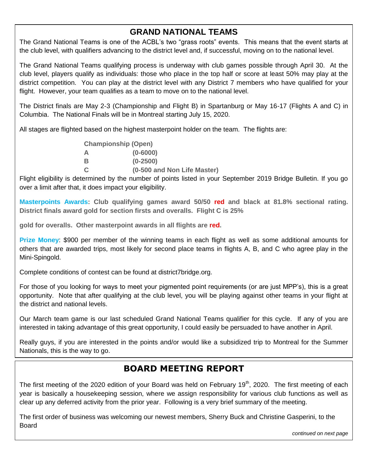### **GRAND NATIONAL TEAMS**

The Grand National Teams is one of the ACBL's two "grass roots" events. This means that the event starts at the club level, with qualifiers advancing to the district level and, if successful, moving on to the national level.

The Grand National Teams qualifying process is underway with club games possible through April 30. At the club level, players qualify as individuals: those who place in the top half or score at least 50% may play at the district competition. You can play at the district level with any District 7 members who have qualified for your flight. However, your team qualifies as a team to move on to the national level.

The District finals are May 2-3 (Championship and Flight B) in Spartanburg or May 16-17 (Flights A and C) in Columbia. The National Finals will be in Montreal starting July 15, 2020.

All stages are flighted based on the highest masterpoint holder on the team. The flights are:

| <b>Championship (Open)</b> |                             |
|----------------------------|-----------------------------|
| А                          | $(0 - 6000)$                |
| в                          | $(0-2500)$                  |
| C                          | (0-500 and Non Life Master) |

Flight eligibility is determined by the number of points listed in your September 2019 Bridge Bulletin. If you go over a limit after that, it does impact your eligibility.

**Masterpoints Awards: Club qualifying games award 50/50 red and black at 81.8% sectional rating. District finals award gold for section firsts and overalls. Flight C is 25%** 

**gold for overalls. Other masterpoint awards in all flights are red.** 

**Prize Money**: \$900 per member of the winning teams in each flight as well as some additional amounts for others that are awarded trips, most likely for second place teams in flights A, B, and C who agree play in the Mini-Spingold.

Complete conditions of contest can be found at district7bridge.org.

For those of you looking for ways to meet your pigmented point requirements (or are just MPP's), this is a great opportunity. Note that after qualifying at the club level, you will be playing against other teams in your flight at the district and national levels.

Our March team game is our last scheduled Grand National Teams qualifier for this cycle. If any of you are interested in taking advantage of this great opportunity, I could easily be persuaded to have another in April.

Really guys, if you are interested in the points and/or would like a subsidized trip to Montreal for the Summer Nationals, this is the way to go.

### **BOARD MEETING REPORT**

The first meeting of the 2020 edition of your Board was held on February 19<sup>th</sup>, 2020. The first meeting of each year is basically a housekeeping session, where we assign responsibility for various club functions as well as clear up any deferred activity from the prior year. Following is a very brief summary of the meeting.

The first order of business was welcoming our newest members, Sherry Buck and Christine Gasperini, to the Board

*continued on next page*